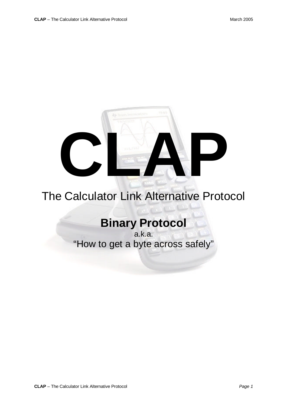

## The Calculator Link Alternative Protocol

## **Binary Protocol**

a.k.a. "How to get a byte across safely"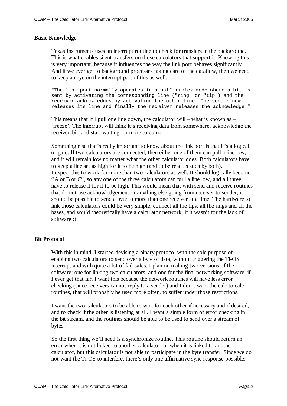## **Basic Knowledge**

Texas Instruments uses an interrupt routine to check for transfers in the background. This is what enables silent transfers on those calculators that support it. Knowing this is very important, because it influences the way the link port behaves significantly. And if we ever get to background processes taking care of the dataflow, then we need to keep an eye on the interrupt part of this as well.

"The link port normally operates in a half -duplex mode where a bit is sent by activating the corresponding line ("ring" or "tip") and the receiver acknowledges by activating the other line. The sender now releases its line and finally the rec eiver releases the acknowledge."

This means that if I pull one line down, the calculator will – what is known as – 'freeze'. The interrupt will think it's receiving data from somewhere, acknowledge the received bit, and start waiting for more to come.

Something else that's really important to know about the link port is that it's a logical or gate. If two calculators are connected, then either one of them can pull a line low, and it will remain low no matter what the other calculator does. Both calculators have to keep a line set as high for it to be high (and to be read as such by both). I expect this to work for more than two calculators as well. It should logically become "A or B or C", so any one of the three calculators can pull a line low, and all three have to release it for it to be high. This would mean that with send and receive routines that do not use acknowledgement or anything else going from receiver to sender, it should be possible to send a byte to more than one receiver at a time. The hardware to link those calculators could be very simple; connect all the tips, all the rings and all the bases, and you'd theoretically have a calculator network, if it wasn't for the lack of software :).

## **Bit Protocol**

With this in mind, I started devising a binary protocol with the sole purpose of enabling two calculators to send over a byte of data, without triggering the Ti-OS interrupt and with quite a lot of fail-safes. I plan on making two versions of the software; one for linking two calculators, and one for the final networking software, if I ever get that far. I want this because the network routines will have less error checking (since receivers cannot reply to a sender) and I don't want the calc to calc routines, that will probably be used more often, to suffer under those restrictions.

I want the two calculators to be able to wait for each other if necessary and if desired, and to check if the other is listening at all. I want a simple form of error checking in the bit stream, and the routines should be able to be used to send over a stream of bytes.

So the first thing we'll need is a synchronize routine. This routine should return an error when it is not linked to another calculator, or when it is linked to another calculator, but this calculator is not able to participate in the byte transfer. Since we do not want the Ti-OS to interfere, there's only one affirmative sync response possible: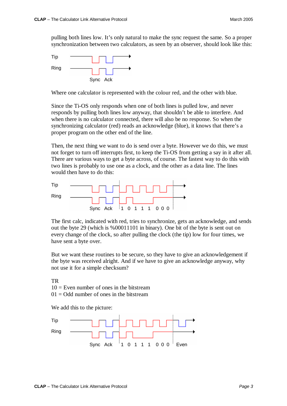pulling both lines low. It's only natural to make the sync request the same. So a proper synchronization between two calculators, as seen by an observer, should look like this:



Where one calculator is represented with the colour red, and the other with blue.

Since the Ti-OS only responds when one of both lines is pulled low, and never responds by pulling both lines low anyway, that shouldn't be able to interfere. And when there is no calculator connected, there will also be no response. So when the synchronizing calculator (red) reads an acknowledge (blue), it knows that there's a proper program on the other end of the line.

Then, the next thing we want to do is send over a byte. However we do this, we must not forget to turn off interrupts first, to keep the Ti-OS from getting a say in it after all. There are various ways to get a byte across, of course. The fastest way to do this with two lines is probably to use one as a clock, and the other as a data line. The lines would then have to do this:



The first calc, indicated with red, tries to synchronize, gets an acknowledge, and sends out the byte 29 (which is %00011101 in binary). One bit of the byte is sent out on every change of the clock, so after pulling the clock (the tip) low for four times, we have sent a byte over.

But we want these routines to be secure, so they have to give an acknowledgement if the byte was received alright. And if we have to give an acknowledge anyway, why not use it for a simple checksum?

TR  $10 =$  Even number of ones in the bitstream  $01 =$ Odd number of ones in the bitstream

We add this to the picture:

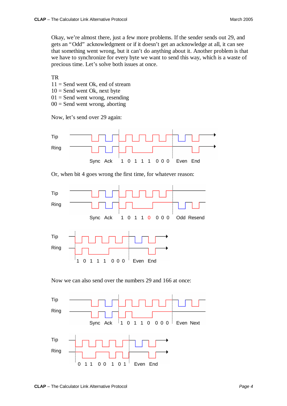Okay, we're almost there, just a few more problems. If the sender sends out 29, and gets an "Odd" acknowledgment or if it doesn't get an acknowledge at all, it can see that something went wrong, but it can't do anything about it. Another problem is that we have to synchronize for every byte we want to send this way, which is a waste of precious time. Let's solve both issues at once.

TR

- $11 =$  Send went Ok, end of stream
- $10 =$  Send went Ok, next byte
- $01 =$  Send went wrong, resending
- $00 =$  Send went wrong, aborting

Now, let's send over 29 again:



Or, when bit 4 goes wrong the first time, for whatever reason:



Now we can also send over the numbers 29 and 166 at once:

![](_page_3_Figure_13.jpeg)